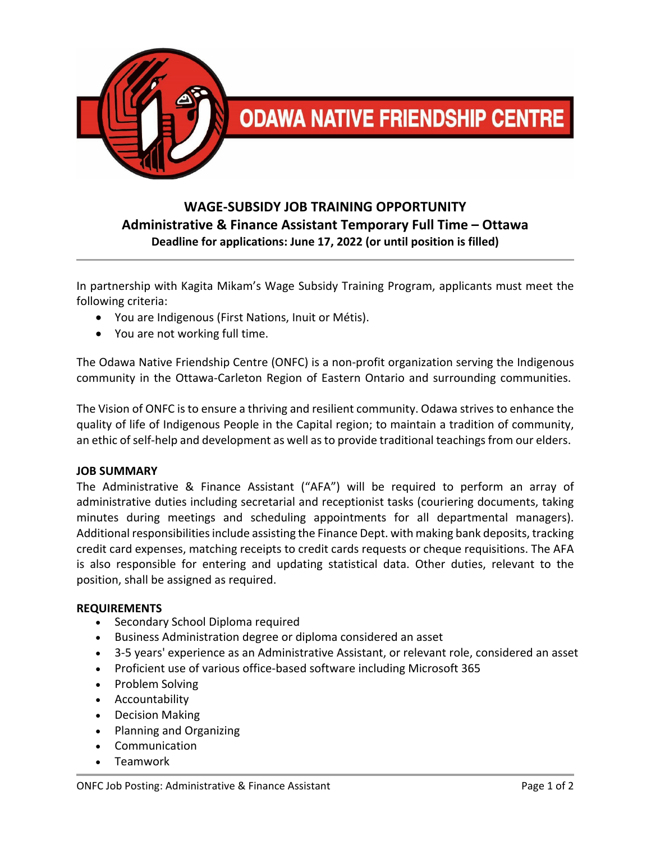

# **ODAWA NATIVE FRIENDSHIP CENTRE**

## **WAGE‐SUBSIDY JOB TRAINING OPPORTUNITY Administrative & Finance Assistant Temporary Full Time – Ottawa Deadline for applications: June 17, 2022 (or until position is filled)**

In partnership with Kagita Mikam's Wage Subsidy Training Program, applicants must meet the following criteria:

- You are Indigenous (First Nations, Inuit or Métis).
- You are not working full time.

The Odawa Native Friendship Centre (ONFC) is a non‐profit organization serving the Indigenous community in the Ottawa‐Carleton Region of Eastern Ontario and surrounding communities.

The Vision of ONFC is to ensure a thriving and resilient community. Odawa strives to enhance the quality of life of Indigenous People in the Capital region; to maintain a tradition of community, an ethic of self-help and development as well as to provide traditional teachings from our elders.

#### **JOB SUMMARY**

The Administrative & Finance Assistant ("AFA") will be required to perform an array of administrative duties including secretarial and receptionist tasks (couriering documents, taking minutes during meetings and scheduling appointments for all departmental managers). Additional responsibilities include assisting the Finance Dept. with making bank deposits, tracking credit card expenses, matching receipts to credit cards requests or cheque requisitions. The AFA is also responsible for entering and updating statistical data. Other duties, relevant to the position, shall be assigned as required.

#### **REQUIREMENTS**

- Secondary School Diploma required
- Business Administration degree or diploma considered an asset
- 3‐5 years' experience as an Administrative Assistant, or relevant role, considered an asset
- Proficient use of various office‐based software including Microsoft 365
- Problem Solving
- Accountability
- Decision Making
- Planning and Organizing
- Communication
- Teamwork